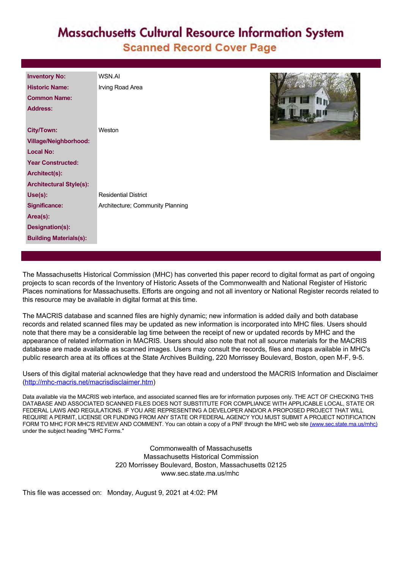# **Massachusetts Cultural Resource Information System Scanned Record Cover Page**

| <b>Inventory No:</b>           | <b>WSN AI</b>                    |
|--------------------------------|----------------------------------|
| <b>Historic Name:</b>          | Irving Road Area                 |
| <b>Common Name:</b>            |                                  |
| <b>Address:</b>                |                                  |
|                                |                                  |
| <b>City/Town:</b>              | Weston                           |
| <b>Village/Neighborhood:</b>   |                                  |
| <b>Local No:</b>               |                                  |
| <b>Year Constructed:</b>       |                                  |
| Architect(s):                  |                                  |
| <b>Architectural Style(s):</b> |                                  |
| Use(s):                        | <b>Residential District</b>      |
| <b>Significance:</b>           | Architecture; Community Planning |
| Area(s):                       |                                  |
| Designation(s):                |                                  |
| <b>Building Materials(s):</b>  |                                  |
|                                |                                  |



The Massachusetts Historical Commission (MHC) has converted this paper record to digital format as part of ongoing projects to scan records of the Inventory of Historic Assets of the Commonwealth and National Register of Historic Places nominations for Massachusetts. Efforts are ongoing and not all inventory or National Register records related to this resource may be available in digital format at this time.

The MACRIS database and scanned files are highly dynamic; new information is added daily and both database records and related scanned files may be updated as new information is incorporated into MHC files. Users should note that there may be a considerable lag time between the receipt of new or updated records by MHC and the appearance of related information in MACRIS. Users should also note that not all source materials for the MACRIS database are made available as scanned images. Users may consult the records, files and maps available in MHC's public research area at its offices at the State Archives Building, 220 Morrissey Boulevard, Boston, open M-F, 9-5.

Users of this digital material acknowledge that they have read and understood the MACRIS Information and Disclaimer ([http://mhc-macris.net/macrisdisclaimer.htm\)](http://mhc-macris.net/macrisdisclaimer.htm)

Data available via the MACRIS web interface, and associated scanned files are for information purposes only. THE ACT OF CHECKING THIS DATABASE AND ASSOCIATED SCANNED FILES DOES NOT SUBSTITUTE FOR COMPLIANCE WITH APPLICABLE LOCAL, STATE OR FEDERAL LAWS AND REGULATIONS. IF YOU ARE REPRESENTING A DEVELOPER AND/OR A PROPOSED PROJECT THAT WILL REQUIRE A PERMIT, LICENSE OR FUNDING FROM ANY STATE OR FEDERAL AGENCY YOU MUST SUBMIT A PROJECT NOTIFICATION FORM TO MHC FOR MHC'S REVIEW AND COMMENT. You can obtain a copy of a PNF through the MHC web site [\(www.sec.state.ma.us/mhc\)](http://www.sec.state.ma.us/mhc) under the subject heading "MHC Forms."

> Commonwealth of Massachusetts Massachusetts Historical Commission 220 Morrissey Boulevard, Boston, Massachusetts 02125 www.sec.state.ma.us/mhc

This file was accessed on: Monday, August 9, 2021 at 4:02: PM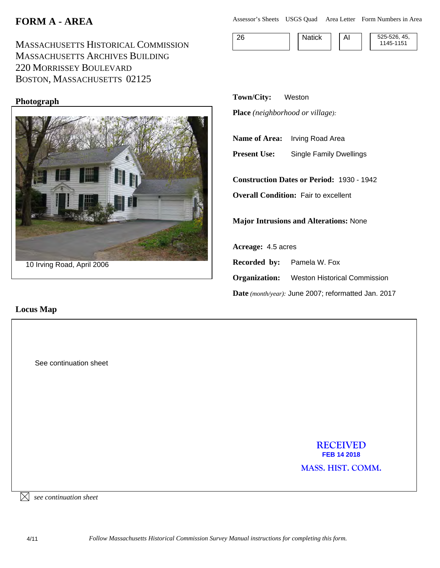# **FORM A - AREA**

MASSACHUSETTS HISTORICAL COMMISSION MASSACHUSETTS ARCHIVES BUILDING 220 MORRISSEY BOULEVARD BOSTON, MASSACHUSETTS 02125

### **Photograph**



### **Locus Map**

Assessor's Sheets USGS Quad Area Letter Form Numbers in Area

26 **Natick AI** 525-526, 45, 1145-1151

**Town/City:** Weston **Place** *(neighborhood or village):*

**Name of Area:** Irving Road Area

**Present Use:** Single Family Dwellings

**Construction Dates or Period:** 1930 - 1942 **Overall Condition: Fair to excellent** 

**Major Intrusions and Alterations:** None

**Acreage:** 4.5 acres **Recorded by:** Pamela W. Fox **Organization:** Weston Historical Commission **Date** *(month/year):* June 2007; reformatted Jan. 2017

> **RECEIVED FEB 14 2018**

**MASS. HIST. COMM.** 

 $\boxtimes$  see continuation sheet

See continuation sheet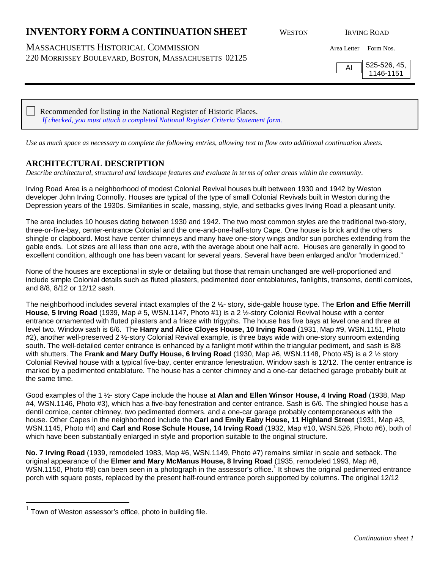MASSACHUSETTS HISTORICAL COMMISSION Area Letter Form Nos. 220 MORRISSEY BOULEVARD, BOSTON, MASSACHUSETTS 02125

 $\overline{AI}$  525-526, 45, 1146-1151

 Recommended for listing in the National Register of Historic Places. *If checked, you must attach a completed National Register Criteria Statement form.*

*Use as much space as necessary to complete the following entries, allowing text to flow onto additional continuation sheets.*

### **ARCHITECTURAL DESCRIPTION**

*Describe architectural, structural and landscape features and evaluate in terms of other areas within the community*.

Irving Road Area is a neighborhood of modest Colonial Revival houses built between 1930 and 1942 by Weston developer John Irving Connolly. Houses are typical of the type of small Colonial Revivals built in Weston during the Depression years of the 1930s. Similarities in scale, massing, style, and setbacks gives Irving Road a pleasant unity.

The area includes 10 houses dating between 1930 and 1942. The two most common styles are the traditional two-story, three-or-five-bay, center-entrance Colonial and the one-and-one-half-story Cape. One house is brick and the others shingle or clapboard. Most have center chimneys and many have one-story wings and/or sun porches extending from the gable ends. Lot sizes are all less than one acre, with the average about one half acre. Houses are generally in good to excellent condition, although one has been vacant for several years. Several have been enlarged and/or "modernized."

None of the houses are exceptional in style or detailing but those that remain unchanged are well-proportioned and include simple Colonial details such as fluted pilasters, pedimented door entablatures, fanlights, transoms, dentil cornices, and 8/8, 8/12 or 12/12 sash.

The neighborhood includes several intact examples of the 2 ½- story, side-gable house type. The **Erlon and Effie Merrill House, 5 Irving Road** (1939, Map # 5, WSN.1147, Photo #1) is a 2 ½-story Colonial Revival house with a center entrance ornamented with fluted pilasters and a frieze with trigyphs. The house has five bays at level one and three at level two. Window sash is 6/6. The **Harry and Alice Cloyes House, 10 Irving Road** (1931, Map #9, WSN.1151, Photo #2), another well-preserved 2 ½-story Colonial Revival example, is three bays wide with one-story sunroom extending south. The well-detailed center entrance is enhanced by a fanlight motif within the triangular pediment, and sash is 8/8 with shutters. The **Frank and Mary Duffy House, 6 Irving Road** (1930, Map #6, WSN.1148, Photo #5) is a 2 ½ story Colonial Revival house with a typical five-bay, center entrance fenestration. Window sash is 12/12. The center entrance is marked by a pedimented entablature. The house has a center chimney and a one-car detached garage probably built at the same time.

Good examples of the 1 ½- story Cape include the house at **Alan and Ellen Winsor House, 4 Irving Road** (1938, Map #4, WSN.1146, Photo #3), which has a five-bay fenestration and center entrance. Sash is 6/6. The shingled house has a dentil cornice, center chimney, two pedimented dormers. and a one-car garage probably contemporaneous with the house. Other Capes in the neighborhood include the **Carl and Emily Eaby House, 11 Highland Street** (1931, Map #3, WSN.1145, Photo #4) and **Carl and Rose Schule House, 14 Irving Road** (1932, Map #10, WSN.526, Photo #6), both of which have been substantially enlarged in style and proportion suitable to the original structure.

**No. 7 Irving Road** (1939, remodeled 1983, Map #6, WSN.1149, Photo #7) remains similar in scale and setback. The original appearance of the **Elmer and Mary McManus House, 8 Irving Road** (1935, remodeled 1993, Map #8, WSN.1150, Photo #8) can been seen in a photograph in the assessor's office.<sup>1</sup> It shows the original pedimented entrance porch with square posts, replaced by the present half-round entrance porch supported by columns. The original 12/12

 $\overline{a}$ 

 $1$  Town of Weston assessor's office, photo in building file.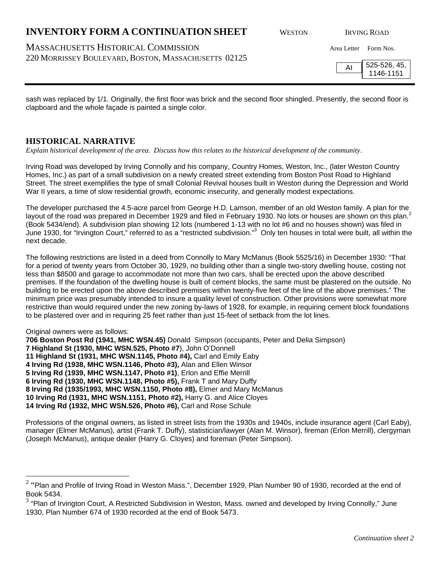# $^2$  "Plan and Profile of Irving Road in Weston Mass.", December 1929, Plan Number 90 of 1930, recorded at the end of

# **INVENTORY FORM A CONTINUATION SHEET** WESTON IRVING ROAD

# MASSACHUSETTS HISTORICAL COMMISSION Area Letter Form Nos.

220 MORRISSEY BOULEVARD, BOSTON, MASSACHUSETTS 02125

sash was replaced by 1/1. Originally, the first floor was brick and the second floor shingled. Presently, the second floor is clapboard and the whole façade is painted a single color.

**HISTORICAL NARRATIVE** *Explain historical development of the area. Discuss how this relates to the historical development of the community*.

Irving Road was developed by Irving Connolly and his company, Country Homes, Weston, Inc., (later Weston Country Homes, Inc.) as part of a small subdivision on a newly created street extending from Boston Post Road to Highland Street. The street exemplifies the type of small Colonial Revival houses built in Weston during the Depression and World War II years, a time of slow residential growth, economic insecurity, and generally modest expectations.

The developer purchased the 4.5-acre parcel from George H.D. Lamson, member of an old Weston family. A plan for the layout of the road was prepared in December 1929 and filed in February 1930. No lots or houses are shown on this plan.<sup>2</sup> (Book 5434/end). A subdivision plan showing 12 lots (numbered 1-13 with no lot #6 and no houses shown) was filed in June 1930, for "Irvington Court," referred to as a "restricted subdivision."<sup>3</sup> Only ten houses in total were built, all within the next decade.

The following restrictions are listed in a deed from Connolly to Mary McManus (Book 5525/16) in December 1930: "That for a period of twenty years from October 30, 1929, no building other than a single two-story dwelling house, costing not less than \$8500 and garage to accommodate not more than two cars, shall be erected upon the above described premises. If the foundation of the dwelling house is built of cement blocks, the same must be plastered on the outside. No building to be erected upon the above described premises within twenty-five feet of the line of the above premises." The minimum price was presumably intended to insure a quality level of construction. Other provisions were somewhat more restrictive than would required under the new zoning by-laws of 1928, for example, in requiring cement block foundations to be plastered over and in requiring 25 feet rather than just 15-feet of setback from the lot lines.

### Original owners were as follows:

 $\overline{a}$ 

Book 5434.

**706 Boston Post Rd (1941, MHC WSN.45)** Donald Simpson (occupants, Peter and Delia Simpson) **7 Highland St (1930, MHC WSN.525, Photo #7**), John O'Donnell **11 Highland St (1931, MHC WSN.1145, Photo #4),** Carl and Emily Eaby **4 Irving Rd (1938, MHC WSN.1146, Photo #3),** Alan and Ellen Winsor **5 Irving Rd (1939, MHC WSN.1147, Photo #1)**, Erlon and Effie Merrill **6 Irving Rd (1930, MHC WSN.1148, Photo #5),** Frank T and Mary Duffy **8 Irving Rd (1935/1993, MHC WSN.1150, Photo #8),** Elmer and Mary McManus **10 Irving Rd (1931, MHC WSN.1151, Photo #2),** Harry G. and Alice Cloyes **14 Irving Rd (1932, MHC WSN.526, Photo #6),** Carl and Rose Schule

Professions of the original owners, as listed in street lists from the 1930s and 1940s, include insurance agent (Carl Eaby), manager (Elmer McManus), artist (Frank T. Duffy), statistician/lawyer (Alan M. Winsor), fireman (Erlon Merrill), clergyman (Joseph McManus), antique dealer (Harry G. Cloyes) and foreman (Peter Simpson).

 $3$  "Plan of Irvington Court, A Restricted Subdivision in Weston, Mass. owned and developed by Irving Connolly," June 1930, Plan Number 674 of 1930 recorded at the end of Book 5473.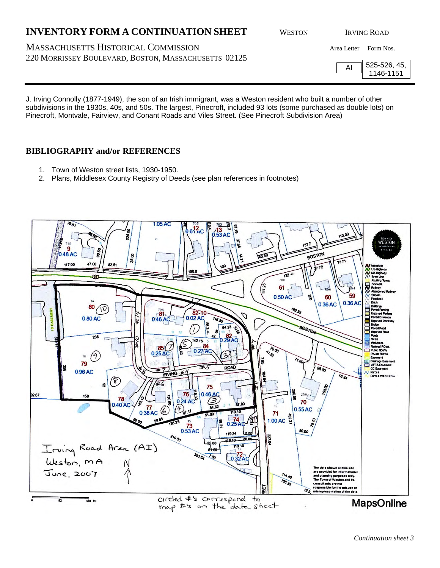MASSACHUSETTS HISTORICAL COMMISSION Area Letter Form Nos. 220 MORRISSEY BOULEVARD, BOSTON, MASSACHUSETTS 02125

AI 525-526, 45, 1146-1151

J. Irving Connolly (1877-1949), the son of an Irish immigrant, was a Weston resident who built a number of other subdivisions in the 1930s, 40s, and 50s. The largest, Pinecroft, included 93 lots (some purchased as double lots) on Pinecroft, Montvale, Fairview, and Conant Roads and Viles Street. (See Pinecroft Subdivision Area)

### **BIBLIOGRAPHY and/or REFERENCES**

- 1. Town of Weston street lists, 1930-1950.
- 2. Plans, Middlesex County Registry of Deeds (see plan references in footnotes)

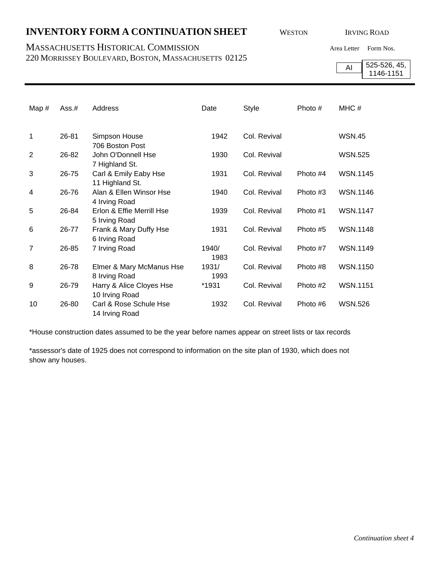### MASSACHUSETTS HISTORICAL COMMISSION Area Letter Form Nos.

220 MORRISSEY BOULEVARD, BOSTON, MASSACHUSETTS 02125

AI 525-526, 45, 1146-1151

| Map#           | Ass.# | Address                                    | Date          | <b>Style</b> | Photo #  | MHC#            |
|----------------|-------|--------------------------------------------|---------------|--------------|----------|-----------------|
| 1              | 26-81 | Simpson House<br>706 Boston Post           | 1942          | Col. Revival |          | <b>WSN.45</b>   |
| $\overline{2}$ | 26-82 | John O'Donnell Hse<br>7 Highland St.       | 1930          | Col. Revival |          | <b>WSN.525</b>  |
| 3              | 26-75 | Carl & Emily Eaby Hse<br>11 Highland St.   | 1931          | Col. Revival | Photo #4 | <b>WSN.1145</b> |
| 4              | 26-76 | Alan & Ellen Winsor Hse<br>4 Irving Road   | 1940          | Col. Revival | Photo #3 | <b>WSN.1146</b> |
| 5              | 26-84 | Erlon & Effie Merrill Hse<br>5 Irving Road | 1939          | Col. Revival | Photo #1 | <b>WSN.1147</b> |
| 6              | 26-77 | Frank & Mary Duffy Hse<br>6 Irving Road    | 1931          | Col. Revival | Photo #5 | <b>WSN.1148</b> |
| 7              | 26-85 | 7 Irving Road                              | 1940/<br>1983 | Col. Revival | Photo #7 | <b>WSN.1149</b> |
| 8              | 26-78 | Elmer & Mary McManus Hse<br>8 Irving Road  | 1931/<br>1993 | Col. Revival | Photo #8 | <b>WSN.1150</b> |
| 9              | 26-79 | Harry & Alice Cloyes Hse<br>10 Irving Road | *1931         | Col. Revival | Photo #2 | <b>WSN.1151</b> |
| 10             | 26-80 | Carl & Rose Schule Hse<br>14 Irving Road   | 1932          | Col. Revival | Photo #6 | <b>WSN.526</b>  |

\*House construction dates assumed to be the year before names appear on street lists or tax records

\*assessor's date of 1925 does not correspond to information on the site plan of 1930, which does not show any houses.

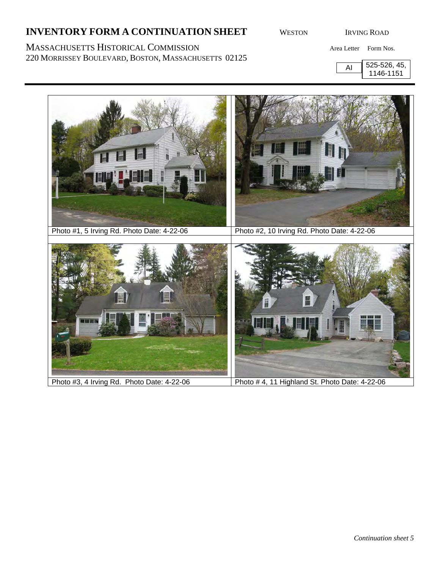220 MORRISSEY BOULEVARD, BOSTON, MASSACHUSETTS 02125

MASSACHUSETTS HISTORICAL COMMISSION Area Letter Form Nos.

AI 525-526, 45, 1146-1151